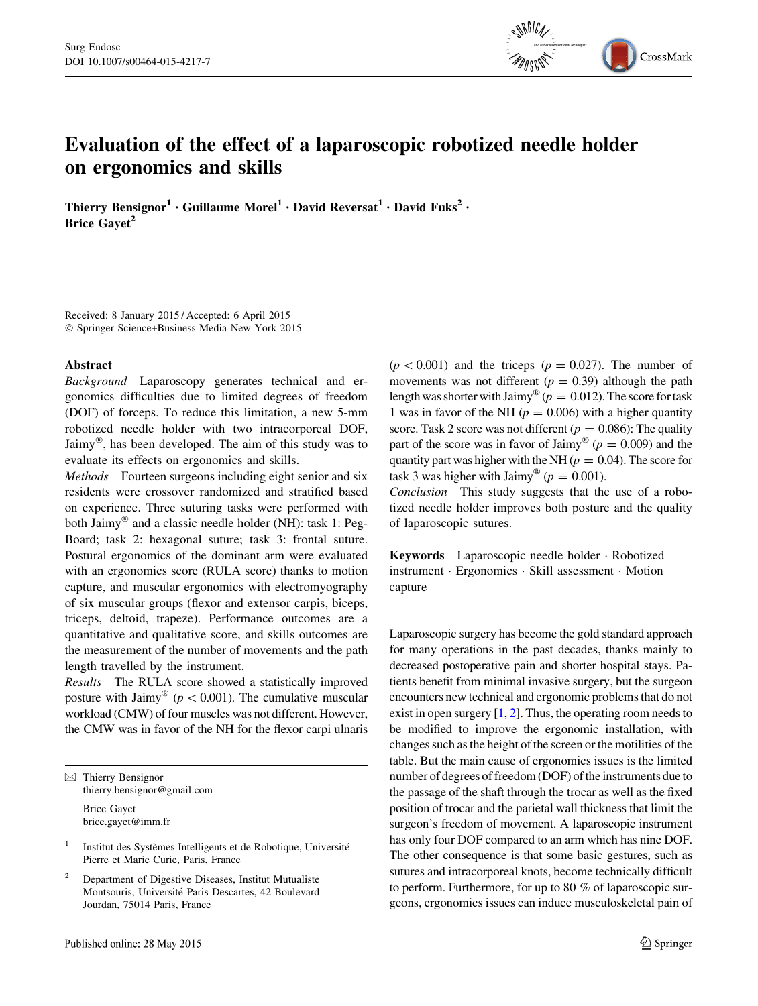

# Evaluation of the effect of a laparoscopic robotized needle holder on ergonomics and skills

Thierry Bensignor<sup>1</sup> • Guillaume Morel<sup>1</sup> • David Reversat<sup>1</sup> • David Fuks<sup>2</sup> • Brice Gavet<sup>2</sup>

Received: 8 January 2015 / Accepted: 6 April 2015 - Springer Science+Business Media New York 2015

## Abstract

Background Laparoscopy generates technical and ergonomics difficulties due to limited degrees of freedom (DOF) of forceps. To reduce this limitation, a new 5-mm robotized needle holder with two intracorporeal DOF, Jaimy<sup>®</sup>, has been developed. The aim of this study was to evaluate its effects on ergonomics and skills.

Methods Fourteen surgeons including eight senior and six residents were crossover randomized and stratified based on experience. Three suturing tasks were performed with both Jaimy<sup>®</sup> and a classic needle holder (NH): task 1: Peg-Board; task 2: hexagonal suture; task 3: frontal suture. Postural ergonomics of the dominant arm were evaluated with an ergonomics score (RULA score) thanks to motion capture, and muscular ergonomics with electromyography of six muscular groups (flexor and extensor carpis, biceps, triceps, deltoid, trapeze). Performance outcomes are a quantitative and qualitative score, and skills outcomes are the measurement of the number of movements and the path length travelled by the instrument.

Results The RULA score showed a statistically improved posture with Jaimy<sup>( $p$ </sup>) ( $p$  < 0.001). The cumulative muscular workload (CMW) of four muscles was not different. However, the CMW was in favor of the NH for the flexor carpi ulnaris

 $\boxtimes$  Thierry Bensignor thierry.bensignor@gmail.com

Brice Gayet brice.gayet@imm.fr  $(p < 0.001)$  and the triceps  $(p = 0.027)$ . The number of movements was not different ( $p = 0.39$ ) although the path length was shorter with Jaimy  $(p = 0.012)$ . The score for task 1 was in favor of the NH ( $p = 0.006$ ) with a higher quantity score. Task 2 score was not different ( $p = 0.086$ ): The quality part of the score was in favor of Jaimy  $(p = 0.009)$  and the quantity part was higher with the NH ( $p = 0.04$ ). The score for task 3 was higher with Jaimy<sup>®</sup> ( $p = 0.001$ ).

Conclusion This study suggests that the use of a robotized needle holder improves both posture and the quality of laparoscopic sutures.

Keywords Laparoscopic needle holder - Robotized instrument - Ergonomics - Skill assessment - Motion capture

Laparoscopic surgery has become the gold standard approach for many operations in the past decades, thanks mainly to decreased postoperative pain and shorter hospital stays. Patients benefit from minimal invasive surgery, but the surgeon encounters new technical and ergonomic problems that do not exist in open surgery  $[1, 2]$  $[1, 2]$  $[1, 2]$ . Thus, the operating room needs to be modified to improve the ergonomic installation, with changes such as the height of the screen or the motilities of the table. But the main cause of ergonomics issues is the limited number of degrees of freedom (DOF) of the instruments due to the passage of the shaft through the trocar as well as the fixed position of trocar and the parietal wall thickness that limit the surgeon's freedom of movement. A laparoscopic instrument has only four DOF compared to an arm which has nine DOF. The other consequence is that some basic gestures, such as sutures and intracorporeal knots, become technically difficult to perform. Furthermore, for up to 80 % of laparoscopic surgeons, ergonomics issues can induce musculoskeletal pain of

Institut des Systèmes Intelligents et de Robotique, Université Pierre et Marie Curie, Paris, France

<sup>2</sup> Department of Digestive Diseases, Institut Mutualiste Montsouris, Université Paris Descartes, 42 Boulevard Jourdan, 75014 Paris, France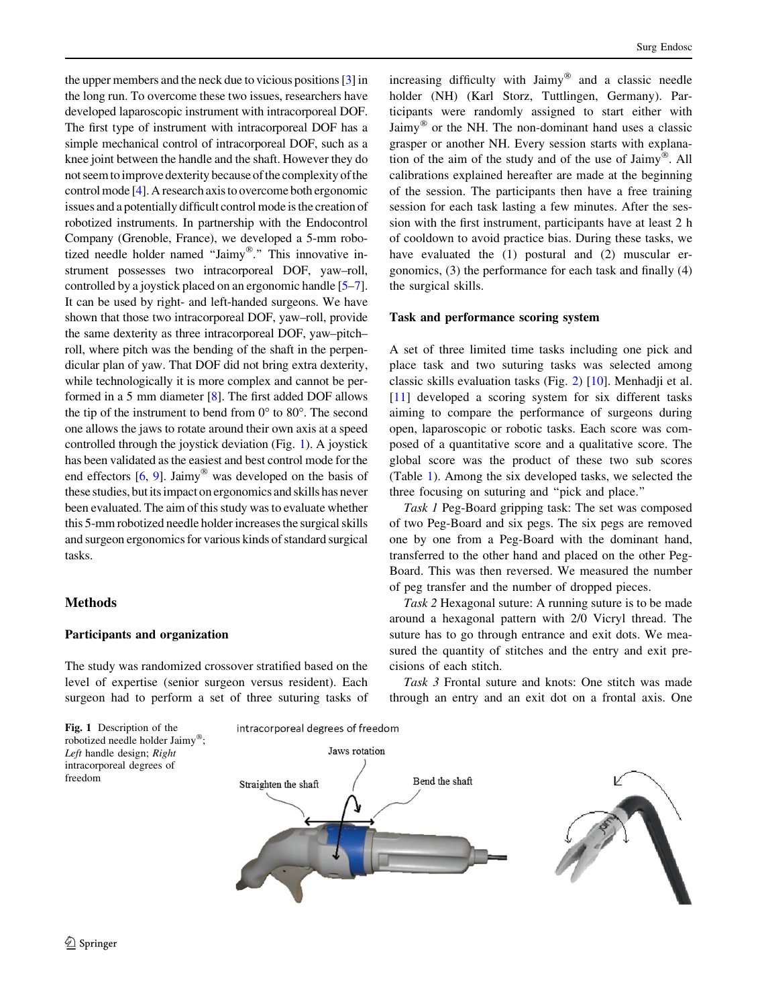the upper members and the neck due to vicious positions [[3](#page-8-0)] in the long run. To overcome these two issues, researchers have developed laparoscopic instrument with intracorporeal DOF. The first type of instrument with intracorporeal DOF has a simple mechanical control of intracorporeal DOF, such as a knee joint between the handle and the shaft. However they do not seem to improve dexterity because of the complexity of the control mode [[4\]](#page-8-0). A research axis to overcome both ergonomic issues and a potentially difficult control mode is the creation of robotized instruments. In partnership with the Endocontrol Company (Grenoble, France), we developed a 5-mm robotized needle holder named "Jaimy®." This innovative instrument possesses two intracorporeal DOF, yaw–roll, controlled by a joystick placed on an ergonomic handle [[5–7](#page-8-0)]. It can be used by right- and left-handed surgeons. We have shown that those two intracorporeal DOF, yaw–roll, provide the same dexterity as three intracorporeal DOF, yaw–pitch– roll, where pitch was the bending of the shaft in the perpendicular plan of yaw. That DOF did not bring extra dexterity, while technologically it is more complex and cannot be performed in a 5 mm diameter [\[8\]](#page-8-0). The first added DOF allows the tip of the instrument to bend from  $0^{\circ}$  to  $80^{\circ}$ . The second one allows the jaws to rotate around their own axis at a speed controlled through the joystick deviation (Fig. 1). A joystick has been validated as the easiest and best control mode for the end effectors  $[6, 9]$  $[6, 9]$  $[6, 9]$  $[6, 9]$ . Jaimy<sup>®</sup> was developed on the basis of these studies, but itsimpact on ergonomics and skills has never been evaluated. The aim of this study was to evaluate whether this 5-mm robotized needle holder increases the surgical skills and surgeon ergonomics for various kinds of standard surgical tasks.

## Methods

## Participants and organization

The study was randomized crossover stratified based on the level of expertise (senior surgeon versus resident). Each surgeon had to perform a set of three suturing tasks of Surg Endosc

increasing difficulty with Jaimy $^{\circledR}$  and a classic needle holder (NH) (Karl Storz, Tuttlingen, Germany). Participants were randomly assigned to start either with Jaimy $^{\circledR}$  or the NH. The non-dominant hand uses a classic grasper or another NH. Every session starts with explanation of the aim of the study and of the use of  $\text{Jaimy}^{\circledR}$ . All calibrations explained hereafter are made at the beginning of the session. The participants then have a free training session for each task lasting a few minutes. After the session with the first instrument, participants have at least 2 h of cooldown to avoid practice bias. During these tasks, we have evaluated the (1) postural and (2) muscular ergonomics, (3) the performance for each task and finally (4) the surgical skills.

## Task and performance scoring system

A set of three limited time tasks including one pick and place task and two suturing tasks was selected among classic skills evaluation tasks (Fig. [2\)](#page-2-0) [\[10](#page-8-0)]. Menhadji et al. [\[11](#page-8-0)] developed a scoring system for six different tasks aiming to compare the performance of surgeons during open, laparoscopic or robotic tasks. Each score was composed of a quantitative score and a qualitative score. The global score was the product of these two sub scores (Table [1\)](#page-2-0). Among the six developed tasks, we selected the three focusing on suturing and ''pick and place.''

Task 1 Peg-Board gripping task: The set was composed of two Peg-Board and six pegs. The six pegs are removed one by one from a Peg-Board with the dominant hand, transferred to the other hand and placed on the other Peg-Board. This was then reversed. We measured the number of peg transfer and the number of dropped pieces.

Task 2 Hexagonal suture: A running suture is to be made around a hexagonal pattern with 2/0 Vicryl thread. The suture has to go through entrance and exit dots. We measured the quantity of stitches and the entry and exit precisions of each stitch.

Task 3 Frontal suture and knots: One stitch was made through an entry and an exit dot on a frontal axis. One

Fig. 1 Description of the robotized needle holder Jaimy®; Left handle design; Right intracorporeal degrees of freedom





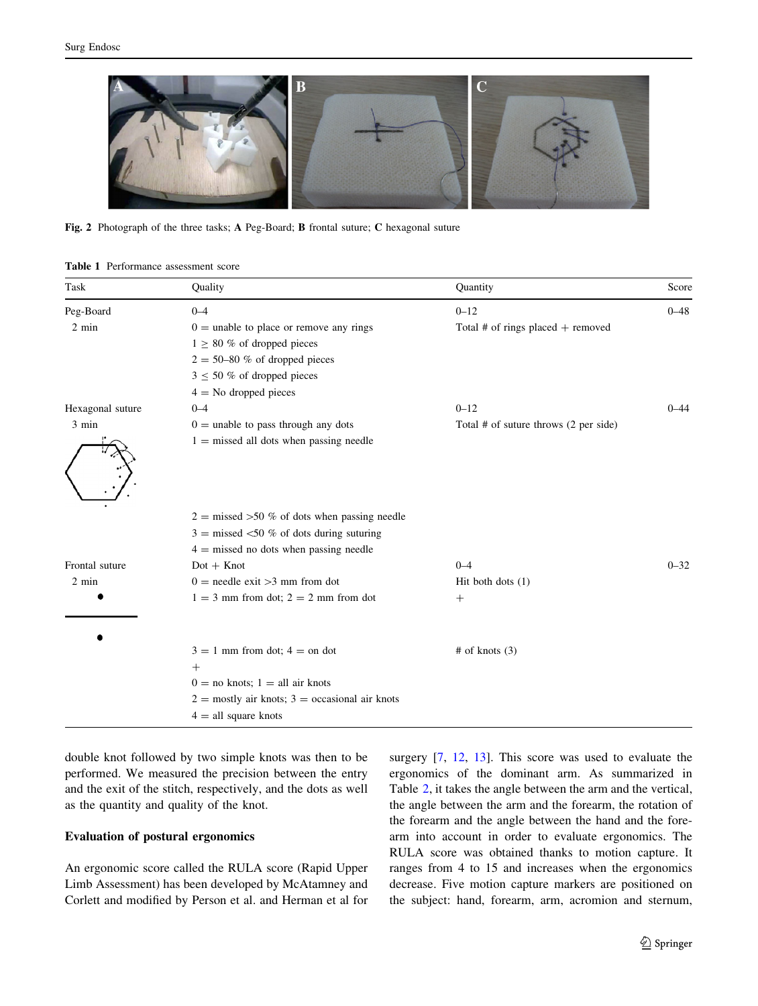<span id="page-2-0"></span>

Fig. 2 Photograph of the three tasks; A Peg-Board; B frontal suture; C hexagonal suture

| Task             | Quality                                            | Quantity                              | Score    |
|------------------|----------------------------------------------------|---------------------------------------|----------|
| Peg-Board        | $0 - 4$                                            | $0 - 12$                              | $0 - 48$ |
| $2 \text{ min}$  | $0 =$ unable to place or remove any rings          | Total $#$ of rings placed $+$ removed |          |
|                  | $1 \geq 80\%$ of dropped pieces                    |                                       |          |
|                  | $2 = 50 - 80$ % of dropped pieces                  |                                       |          |
|                  | $3 \leq 50\%$ of dropped pieces                    |                                       |          |
|                  | $4 =$ No dropped pieces                            |                                       |          |
| Hexagonal suture | $0 - 4$                                            | $0 - 12$                              | $0 - 44$ |
| 3 min            | $0 =$ unable to pass through any dots              | Total # of suture throws (2 per side) |          |
|                  | $1 =$ missed all dots when passing needle          |                                       |          |
|                  | $2 =$ missed >50 % of dots when passing needle     |                                       |          |
|                  | $3 =$ missed <50 % of dots during suturing         |                                       |          |
|                  | $4 =$ missed no dots when passing needle           |                                       |          |
| Frontal suture   | $Dot +$ Knot                                       | $0 - 4$                               | $0 - 32$ |
| $2 \text{ min}$  | $0 =$ needle exit >3 mm from dot                   | Hit both dots $(1)$                   |          |
|                  | $1 = 3$ mm from dot; $2 = 2$ mm from dot           | $^{+}$                                |          |
|                  |                                                    |                                       |          |
|                  | $3 = 1$ mm from dot; $4 =$ on dot                  | $#$ of knots $(3)$                    |          |
|                  | $+$                                                |                                       |          |
|                  | $0 =$ no knots; $1 =$ all air knots                |                                       |          |
|                  | $2 =$ mostly air knots; $3 =$ occasional air knots |                                       |          |
|                  | $4 =$ all square knots                             |                                       |          |

| <b>Table 1</b> Performance assessment score |  |  |
|---------------------------------------------|--|--|
|---------------------------------------------|--|--|

double knot followed by two simple knots was then to be performed. We measured the precision between the entry and the exit of the stitch, respectively, and the dots as well as the quantity and quality of the knot.

## Evaluation of postural ergonomics

An ergonomic score called the RULA score (Rapid Upper Limb Assessment) has been developed by McAtamney and Corlett and modified by Person et al. and Herman et al for surgery [[7,](#page-8-0) [12](#page-8-0), [13](#page-8-0)]. This score was used to evaluate the ergonomics of the dominant arm. As summarized in Table [2](#page-3-0), it takes the angle between the arm and the vertical, the angle between the arm and the forearm, the rotation of the forearm and the angle between the hand and the forearm into account in order to evaluate ergonomics. The RULA score was obtained thanks to motion capture. It ranges from 4 to 15 and increases when the ergonomics decrease. Five motion capture markers are positioned on the subject: hand, forearm, arm, acromion and sternum,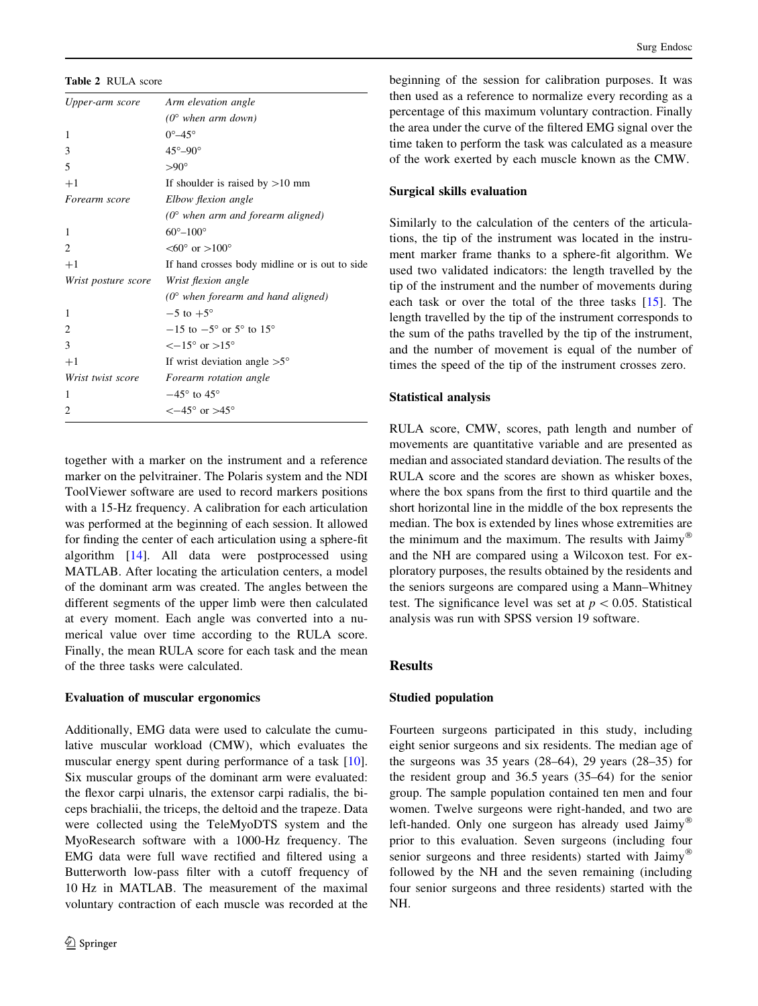## <span id="page-3-0"></span>Table 2 RULA score

| Upper-arm score     | Arm elevation angle                                  |  |
|---------------------|------------------------------------------------------|--|
|                     | $(0^{\circ}$ when arm down)                          |  |
| $\mathbf{1}$        | $0^{\circ} - 45^{\circ}$                             |  |
| 3                   | $45^\circ - 90^\circ$                                |  |
| 5                   | $>90^\circ$                                          |  |
| $+1$                | If shoulder is raised by $>10$ mm                    |  |
| Forearm score       | Elbow flexion angle                                  |  |
|                     | $(0^{\circ}$ when arm and forearm aligned)           |  |
| 1                   | $60^{\circ}-100^{\circ}$                             |  |
| $\overline{c}$      | $<60^{\circ}$ or $>100^{\circ}$                      |  |
| $+1$                | If hand crosses body midline or is out to side       |  |
| Wrist posture score | Wrist flexion angle                                  |  |
|                     | $(0^{\circ}$ when forearm and hand aligned)          |  |
| 1                   | $-5$ to $+5^{\circ}$                                 |  |
| 2                   | $-15$ to $-5^{\circ}$ or $5^{\circ}$ to $15^{\circ}$ |  |
| 3                   | $\langle -15^{\circ} \text{ or } >15^{\circ}$        |  |
| $+1$                | If wrist deviation angle $>5^\circ$                  |  |
| Wrist twist score   | Forearm rotation angle                               |  |
| 1                   | $-45^{\circ}$ to $45^{\circ}$                        |  |
| $\overline{c}$      | $\epsilon$ -45° or $>45^{\circ}$                     |  |
|                     |                                                      |  |

together with a marker on the instrument and a reference marker on the pelvitrainer. The Polaris system and the NDI ToolViewer software are used to record markers positions with a 15-Hz frequency. A calibration for each articulation was performed at the beginning of each session. It allowed for finding the center of each articulation using a sphere-fit algorithm [\[14](#page-8-0)]. All data were postprocessed using MATLAB. After locating the articulation centers, a model of the dominant arm was created. The angles between the different segments of the upper limb were then calculated at every moment. Each angle was converted into a numerical value over time according to the RULA score. Finally, the mean RULA score for each task and the mean of the three tasks were calculated.

## Evaluation of muscular ergonomics

Additionally, EMG data were used to calculate the cumulative muscular workload (CMW), which evaluates the muscular energy spent during performance of a task [\[10](#page-8-0)]. Six muscular groups of the dominant arm were evaluated: the flexor carpi ulnaris, the extensor carpi radialis, the biceps brachialii, the triceps, the deltoid and the trapeze. Data were collected using the TeleMyoDTS system and the MyoResearch software with a 1000-Hz frequency. The EMG data were full wave rectified and filtered using a Butterworth low-pass filter with a cutoff frequency of 10 Hz in MATLAB. The measurement of the maximal voluntary contraction of each muscle was recorded at the beginning of the session for calibration purposes. It was then used as a reference to normalize every recording as a percentage of this maximum voluntary contraction. Finally the area under the curve of the filtered EMG signal over the time taken to perform the task was calculated as a measure of the work exerted by each muscle known as the CMW.

#### Surgical skills evaluation

Similarly to the calculation of the centers of the articulations, the tip of the instrument was located in the instrument marker frame thanks to a sphere-fit algorithm. We used two validated indicators: the length travelled by the tip of the instrument and the number of movements during each task or over the total of the three tasks [\[15](#page-8-0)]. The length travelled by the tip of the instrument corresponds to the sum of the paths travelled by the tip of the instrument, and the number of movement is equal of the number of times the speed of the tip of the instrument crosses zero.

#### Statistical analysis

RULA score, CMW, scores, path length and number of movements are quantitative variable and are presented as median and associated standard deviation. The results of the RULA score and the scores are shown as whisker boxes, where the box spans from the first to third quartile and the short horizontal line in the middle of the box represents the median. The box is extended by lines whose extremities are the minimum and the maximum. The results with Jaimy $^{\circledR}$ and the NH are compared using a Wilcoxon test. For exploratory purposes, the results obtained by the residents and the seniors surgeons are compared using a Mann–Whitney test. The significance level was set at  $p < 0.05$ . Statistical analysis was run with SPSS version 19 software.

## Results

## Studied population

Fourteen surgeons participated in this study, including eight senior surgeons and six residents. The median age of the surgeons was 35 years (28–64), 29 years (28–35) for the resident group and 36.5 years (35–64) for the senior group. The sample population contained ten men and four women. Twelve surgeons were right-handed, and two are left-handed. Only one surgeon has already used Jaimy® prior to this evaluation. Seven surgeons (including four senior surgeons and three residents) started with Jaimy<sup>®</sup> followed by the NH and the seven remaining (including four senior surgeons and three residents) started with the NH.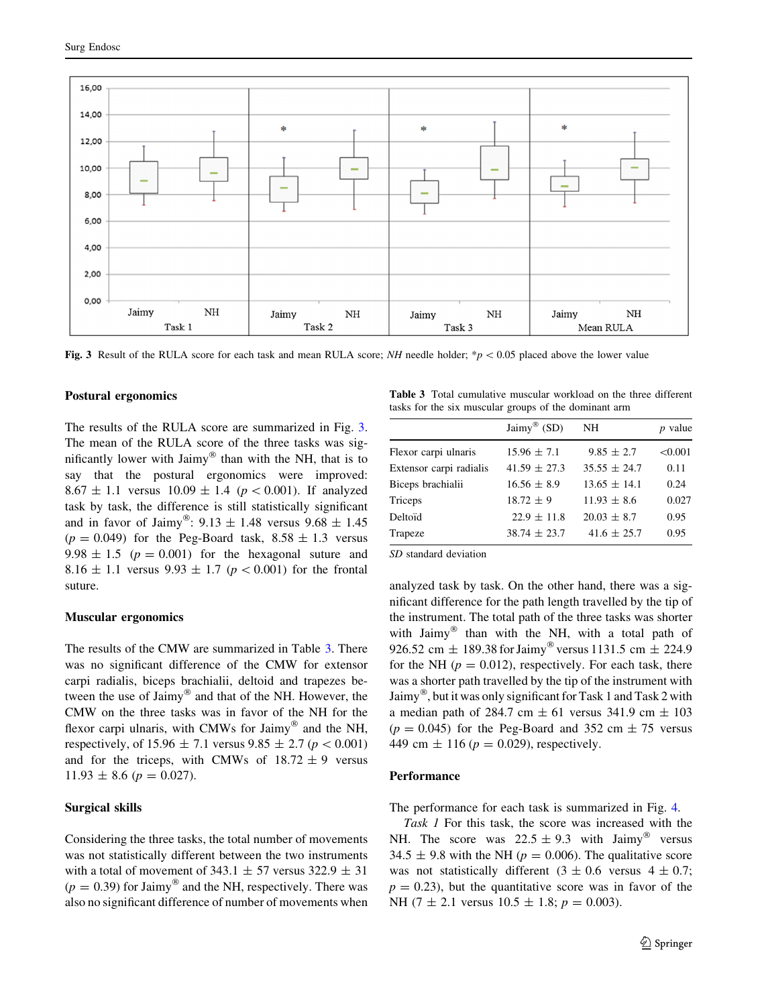

Fig. 3 Result of the RULA score for each task and mean RULA score; NH needle holder; \*p < 0.05 placed above the lower value

## Postural ergonomics

The results of the RULA score are summarized in Fig. 3. The mean of the RULA score of the three tasks was significantly lower with  $\text{Jaimy}^{\circledR}$  than with the NH, that is to say that the postural ergonomics were improved: 8.67  $\pm$  1.1 versus 10.09  $\pm$  1.4 ( $p < 0.001$ ). If analyzed task by task, the difference is still statistically significant and in favor of Jaimy<sup>®</sup>:  $9.13 \pm 1.48$  versus  $9.68 \pm 1.45$  $(p = 0.049)$  for the Peg-Board task,  $8.58 \pm 1.3$  versus  $9.98 \pm 1.5$  ( $p = 0.001$ ) for the hexagonal suture and 8.16  $\pm$  1.1 versus 9.93  $\pm$  1.7 ( $p < 0.001$ ) for the frontal suture.

## Muscular ergonomics

The results of the CMW are summarized in Table 3. There was no significant difference of the CMW for extensor carpi radialis, biceps brachialii, deltoid and trapezes between the use of  $\text{Jaimy}^{\circledR}$  and that of the NH. However, the CMW on the three tasks was in favor of the NH for the flexor carpi ulnaris, with CMWs for Jaimy $^{\circledR}$  and the NH, respectively, of  $15.96 \pm 7.1$  versus  $9.85 \pm 2.7$  ( $p < 0.001$ ) and for the triceps, with CMWs of  $18.72 \pm 9$  versus  $11.93 \pm 8.6$  ( $p = 0.027$ ).

#### Surgical skills

Considering the three tasks, the total number of movements was not statistically different between the two instruments with a total of movement of 343.1  $\pm$  57 versus 322.9  $\pm$  31  $(p = 0.39)$  for Jaimy<sup>®</sup> and the NH, respectively. There was also no significant difference of number of movements when

Table 3 Total cumulative muscular workload on the three different tasks for the six muscular groups of the dominant arm

| Jaimy® $(SD)$    | NΗ               | $p$ value |
|------------------|------------------|-----------|
| $15.96 \pm 7.1$  | $9.85 \pm 2.7$   | < 0.001   |
| $41.59 \pm 27.3$ | $35.55 \pm 24.7$ | 0.11      |
| $16.56 \pm 8.9$  | $13.65 \pm 14.1$ | 0.24      |
| $18.72 \pm 9$    | $11.93 \pm 8.6$  | 0.027     |
| $22.9 \pm 11.8$  | $20.03 \pm 8.7$  | 0.95      |
| $38.74 \pm 23.7$ | $41.6 \pm 25.7$  | 0.95      |
|                  |                  |           |

SD standard deviation

analyzed task by task. On the other hand, there was a significant difference for the path length travelled by the tip of the instrument. The total path of the three tasks was shorter with Jaimy $^{\circledR}$  than with the NH, with a total path of 926.52 cm  $\pm$  189.38 for Jaimy<sup>®</sup> versus 1131.5 cm  $\pm$  224.9 for the NH ( $p = 0.012$ ), respectively. For each task, there was a shorter path travelled by the tip of the instrument with Jaimy $^{\circledR}$ , but it was only significant for Task 1 and Task 2 with a median path of 284.7 cm  $\pm$  61 versus 341.9 cm  $\pm$  103  $(p = 0.045)$  for the Peg-Board and 352 cm  $\pm$  75 versus 449 cm  $\pm$  116 ( $p = 0.029$ ), respectively.

## Performance

The performance for each task is summarized in Fig. [4.](#page-5-0)

Task 1 For this task, the score was increased with the NH. The score was  $22.5 \pm 9.3$  with Jaimy versus 34.5  $\pm$  9.8 with the NH ( $p = 0.006$ ). The qualitative score was not statistically different  $(3 \pm 0.6$  versus  $4 \pm 0.7$ ;  $p = 0.23$ , but the quantitative score was in favor of the NH (7  $\pm$  2.1 versus 10.5  $\pm$  1.8;  $p = 0.003$ ).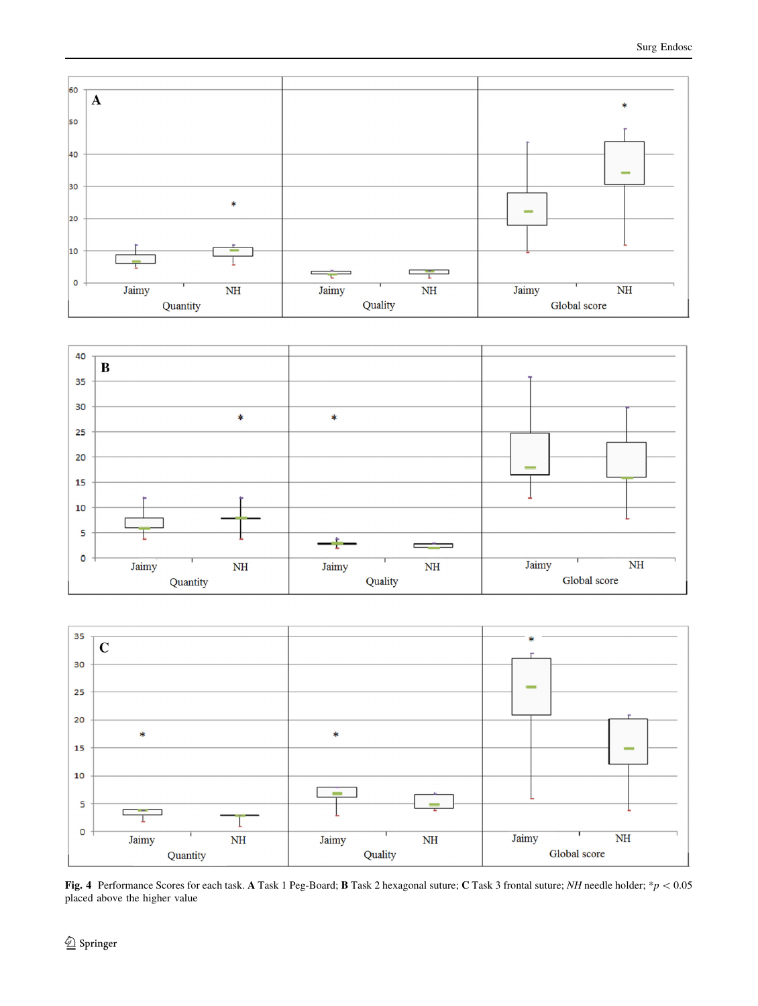<span id="page-5-0"></span>





Fig. 4 Performance Scores for each task. A Task 1 Peg-Board; B Task 2 hexagonal suture; C Task 3 frontal suture; NH needle holder; \*p < 0.05 placed above the higher value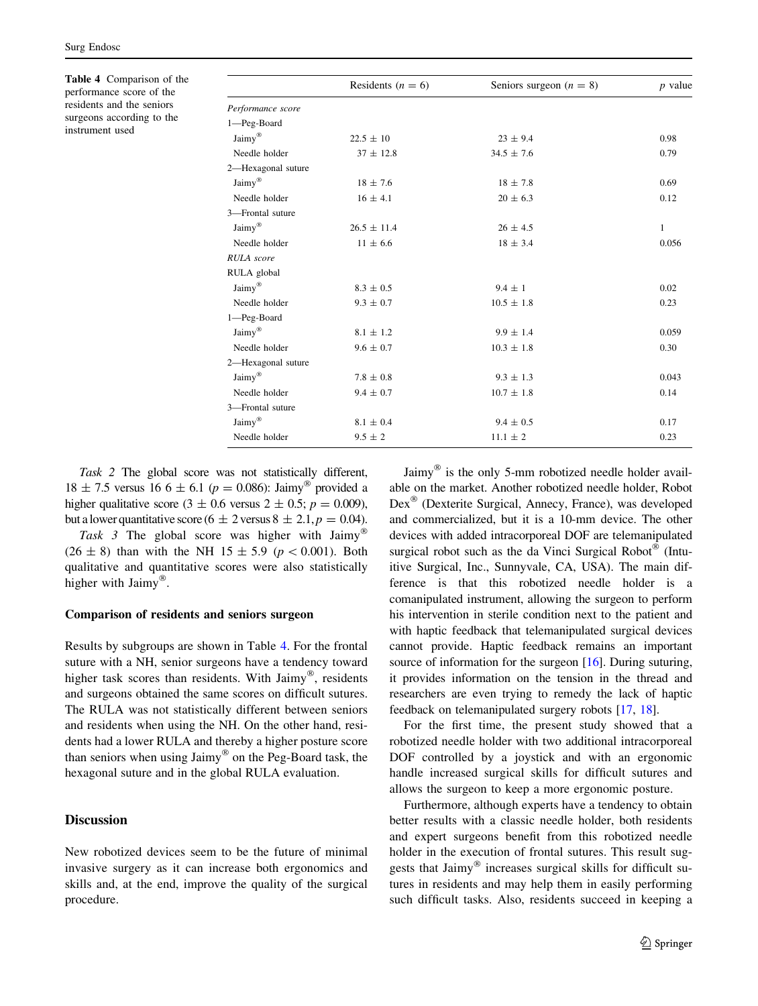Table 4 Comparison of the performance score of the residents and the seniors surgeons according to the instrument used

|                    | Residents ( $n = 6$ ) | Seniors surgeon $(n = 8)$ | $p$ value    |
|--------------------|-----------------------|---------------------------|--------------|
| Performance score  |                       |                           |              |
| 1-Peg-Board        |                       |                           |              |
| Jaimy®             | $22.5 \pm 10$         | $23 \pm 9.4$              | 0.98         |
| Needle holder      | $37 \pm 12.8$         | $34.5 \pm 7.6$            | 0.79         |
| 2-Hexagonal suture |                       |                           |              |
| Jaimy®             | $18 \pm 7.6$          | $18 \pm 7.8$              | 0.69         |
| Needle holder      | $16 \pm 4.1$          | $20 \pm 6.3$              | 0.12         |
| 3-Frontal suture   |                       |                           |              |
| Jaimy®             | $26.5 + 11.4$         | $26 \pm 4.5$              | $\mathbf{1}$ |
| Needle holder      | $11 \pm 6.6$          | $18 \pm 3.4$              | 0.056        |
| <b>RULA</b> score  |                       |                           |              |
| RULA global        |                       |                           |              |
| Jaimy®             | $8.3 \pm 0.5$         | $9.4 \pm 1$               | 0.02         |
| Needle holder      | $9.3 \pm 0.7$         | $10.5 \pm 1.8$            | 0.23         |
| 1-Peg-Board        |                       |                           |              |
| Jaimy®             | $8.1 \pm 1.2$         | $9.9 \pm 1.4$             | 0.059        |
| Needle holder      | $9.6 \pm 0.7$         | $10.3 \pm 1.8$            | 0.30         |
| 2-Hexagonal suture |                       |                           |              |
| Jaimy®             | $7.8 \pm 0.8$         | $9.3 \pm 1.3$             | 0.043        |
| Needle holder      | $9.4 \pm 0.7$         | $10.7 \pm 1.8$            | 0.14         |
| 3-Frontal suture   |                       |                           |              |
| Jaimy®             | $8.1 \pm 0.4$         | $9.4 \pm 0.5$             | 0.17         |
| Needle holder      | $9.5 \pm 2$           | $11.1 \pm 2$              | 0.23         |

Task 2 The global score was not statistically different,  $18 \pm 7.5$  versus  $16.6 \pm 6.1$  ( $p = 0.086$ ): Jaimy<sup>®</sup> provided a higher qualitative score (3  $\pm$  0.6 versus 2  $\pm$  0.5; p = 0.009), but a lower quantitative score (6  $\pm$  2 versus 8  $\pm$  2.1,  $p = 0.04$ ).

Task 3 The global score was higher with Jaimy  $(26 \pm 8)$  than with the NH 15  $\pm$  5.9 (p < 0.001). Both qualitative and quantitative scores were also statistically higher with Jaimy<sup>®</sup>.

## Comparison of residents and seniors surgeon

Results by subgroups are shown in Table 4. For the frontal suture with a NH, senior surgeons have a tendency toward higher task scores than residents. With Jaimy $^{\circledR}$ , residents and surgeons obtained the same scores on difficult sutures. The RULA was not statistically different between seniors and residents when using the NH. On the other hand, residents had a lower RULA and thereby a higher posture score than seniors when using  $\text{Jaimy}^{\circledR}$  on the Peg-Board task, the hexagonal suture and in the global RULA evaluation.

## **Discussion**

New robotized devices seem to be the future of minimal invasive surgery as it can increase both ergonomics and skills and, at the end, improve the quality of the surgical procedure.

Jaimy $^{\circledR}$  is the only 5-mm robotized needle holder available on the market. Another robotized needle holder, Robot Dex (Dexterite Surgical, Annecy, France), was developed and commercialized, but it is a 10-mm device. The other devices with added intracorporeal DOF are telemanipulated surgical robot such as the da Vinci Surgical Robot<sup>®</sup> (Intuitive Surgical, Inc., Sunnyvale, CA, USA). The main difference is that this robotized needle holder is a comanipulated instrument, allowing the surgeon to perform his intervention in sterile condition next to the patient and with haptic feedback that telemanipulated surgical devices cannot provide. Haptic feedback remains an important source of information for the surgeon [\[16\]](#page-8-0). During suturing, it provides information on the tension in the thread and researchers are even trying to remedy the lack of haptic feedback on telemanipulated surgery robots [\[17](#page-8-0), [18\]](#page-8-0).

For the first time, the present study showed that a robotized needle holder with two additional intracorporeal DOF controlled by a joystick and with an ergonomic handle increased surgical skills for difficult sutures and allows the surgeon to keep a more ergonomic posture.

Furthermore, although experts have a tendency to obtain better results with a classic needle holder, both residents and expert surgeons benefit from this robotized needle holder in the execution of frontal sutures. This result suggests that Jaimy<sup>®</sup> increases surgical skills for difficult sutures in residents and may help them in easily performing such difficult tasks. Also, residents succeed in keeping a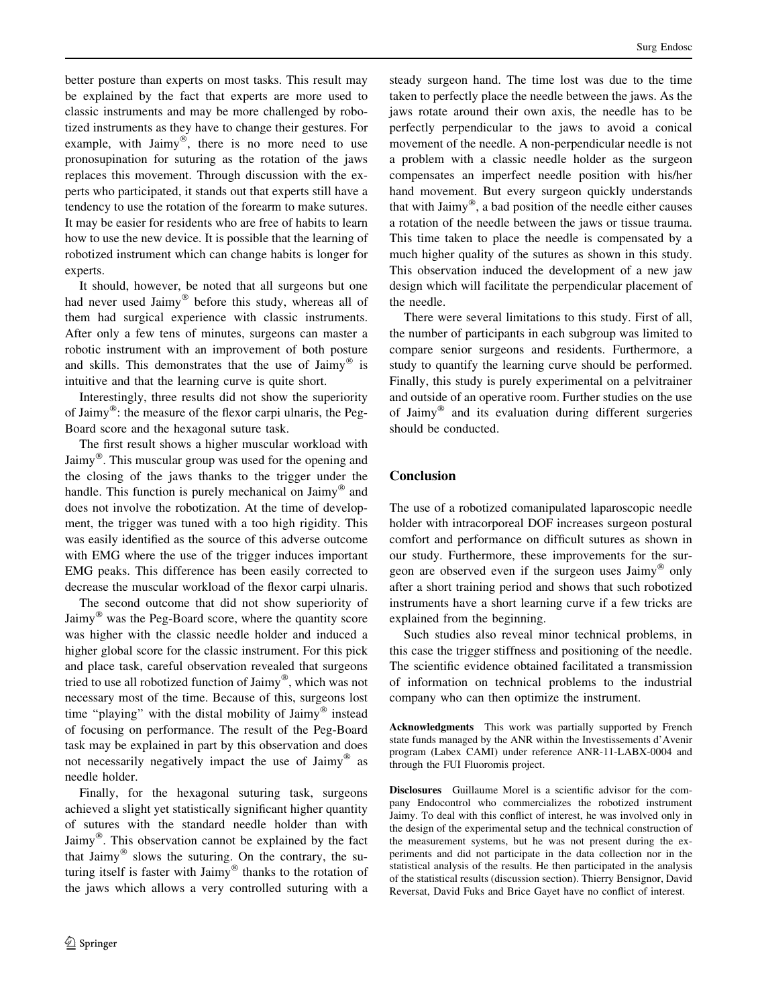better posture than experts on most tasks. This result may be explained by the fact that experts are more used to classic instruments and may be more challenged by robotized instruments as they have to change their gestures. For example, with  $\text{Jaimy}^{\circledR}$ , there is no more need to use pronosupination for suturing as the rotation of the jaws replaces this movement. Through discussion with the experts who participated, it stands out that experts still have a tendency to use the rotation of the forearm to make sutures. It may be easier for residents who are free of habits to learn how to use the new device. It is possible that the learning of robotized instrument which can change habits is longer for experts.

It should, however, be noted that all surgeons but one had never used Jaimy $^{\circledR}$  before this study, whereas all of them had surgical experience with classic instruments. After only a few tens of minutes, surgeons can master a robotic instrument with an improvement of both posture and skills. This demonstrates that the use of  $Jaimv^{\otimes}$  is intuitive and that the learning curve is quite short.

Interestingly, three results did not show the superiority of Jaimy $\mathscr{C}$ : the measure of the flexor carpi ulnaris, the Peg-Board score and the hexagonal suture task.

The first result shows a higher muscular workload with Jaimy<sup>®</sup>. This muscular group was used for the opening and the closing of the jaws thanks to the trigger under the handle. This function is purely mechanical on  $\text{Jaimy}^{\circledR}$  and does not involve the robotization. At the time of development, the trigger was tuned with a too high rigidity. This was easily identified as the source of this adverse outcome with EMG where the use of the trigger induces important EMG peaks. This difference has been easily corrected to decrease the muscular workload of the flexor carpi ulnaris.

The second outcome that did not show superiority of Jaimy $^{\circledR}$  was the Peg-Board score, where the quantity score was higher with the classic needle holder and induced a higher global score for the classic instrument. For this pick and place task, careful observation revealed that surgeons tried to use all robotized function of  $\text{Jaimy}^{\circledR}$ , which was not necessary most of the time. Because of this, surgeons lost time "playing" with the distal mobility of Jaimy $^{\circledR}$  instead of focusing on performance. The result of the Peg-Board task may be explained in part by this observation and does not necessarily negatively impact the use of  $\text{Jaimy}^{\circledcirc}$  as needle holder.

Finally, for the hexagonal suturing task, surgeons achieved a slight yet statistically significant higher quantity of sutures with the standard needle holder than with Jaimy<sup>®</sup>. This observation cannot be explained by the fact that Jaimy $^{\circledR}$  slows the suturing. On the contrary, the suturing itself is faster with Jaimy $^{\circledR}$  thanks to the rotation of the jaws which allows a very controlled suturing with a steady surgeon hand. The time lost was due to the time taken to perfectly place the needle between the jaws. As the jaws rotate around their own axis, the needle has to be perfectly perpendicular to the jaws to avoid a conical movement of the needle. A non-perpendicular needle is not a problem with a classic needle holder as the surgeon compensates an imperfect needle position with his/her hand movement. But every surgeon quickly understands that with Jaimy $^{\circledR}$ , a bad position of the needle either causes a rotation of the needle between the jaws or tissue trauma. This time taken to place the needle is compensated by a much higher quality of the sutures as shown in this study. This observation induced the development of a new jaw design which will facilitate the perpendicular placement of the needle.

There were several limitations to this study. First of all, the number of participants in each subgroup was limited to compare senior surgeons and residents. Furthermore, a study to quantify the learning curve should be performed. Finally, this study is purely experimental on a pelvitrainer and outside of an operative room. Further studies on the use of Jaimy $^{\circledR}$  and its evaluation during different surgeries should be conducted.

## Conclusion

The use of a robotized comanipulated laparoscopic needle holder with intracorporeal DOF increases surgeon postural comfort and performance on difficult sutures as shown in our study. Furthermore, these improvements for the surgeon are observed even if the surgeon uses  $\text{Jaimy}^{\circledR}$  only after a short training period and shows that such robotized instruments have a short learning curve if a few tricks are explained from the beginning.

Such studies also reveal minor technical problems, in this case the trigger stiffness and positioning of the needle. The scientific evidence obtained facilitated a transmission of information on technical problems to the industrial company who can then optimize the instrument.

Acknowledgments This work was partially supported by French state funds managed by the ANR within the Investissements d'Avenir program (Labex CAMI) under reference ANR-11-LABX-0004 and through the FUI Fluoromis project.

Disclosures Guillaume Morel is a scientific advisor for the company Endocontrol who commercializes the robotized instrument Jaimy. To deal with this conflict of interest, he was involved only in the design of the experimental setup and the technical construction of the measurement systems, but he was not present during the experiments and did not participate in the data collection nor in the statistical analysis of the results. He then participated in the analysis of the statistical results (discussion section). Thierry Bensignor, David Reversat, David Fuks and Brice Gayet have no conflict of interest.